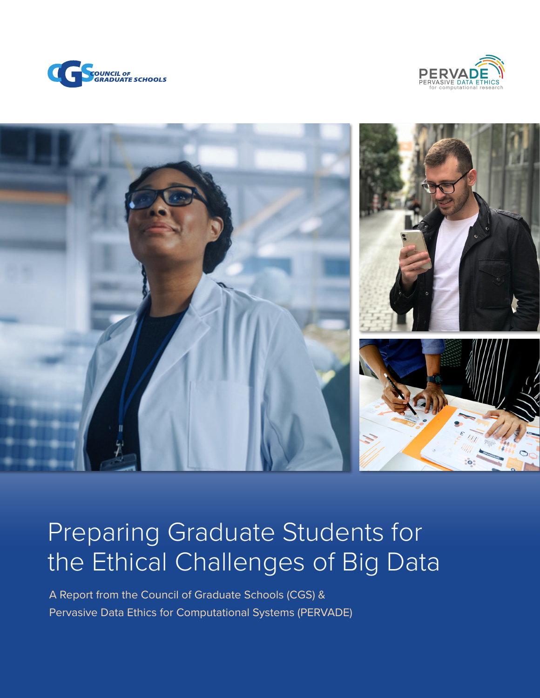





# Preparing Graduate Students for the Ethical Challenges of Big Data

A Report from the Council of Graduate Schools (CGS) & Pervasive Data Ethics for Computational Systems (PERVADE)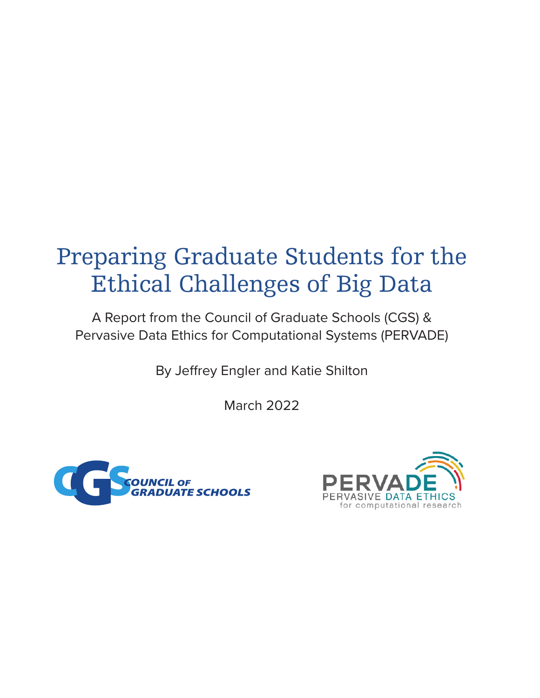# Preparing Graduate Students for the Ethical Challenges of Big Data

A Report from the Council of Graduate Schools (CGS) & Pervasive Data Ethics for Computational Systems (PERVADE)

By Jeffrey Engler and Katie Shilton

March 2022



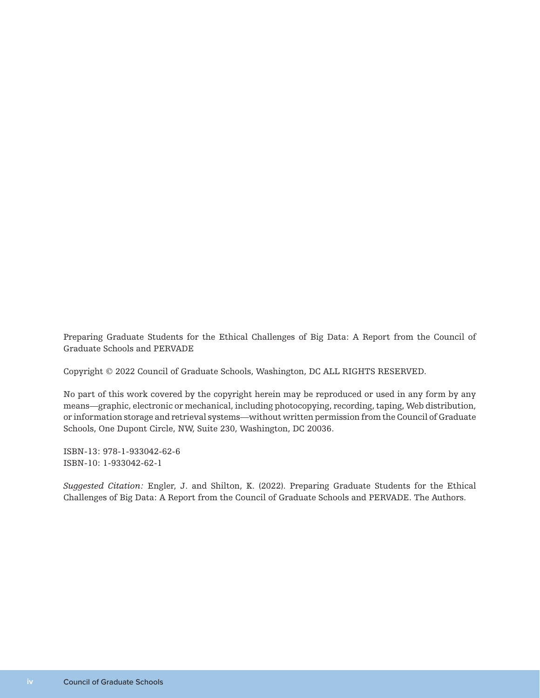Preparing Graduate Students for the Ethical Challenges of Big Data: A Report from the Council of Graduate Schools and PERVADE

Copyright © 2022 Council of Graduate Schools, Washington, DC ALL RIGHTS RESERVED.

No part of this work covered by the copyright herein may be reproduced or used in any form by any means—graphic, electronic or mechanical, including photocopying, recording, taping, Web distribution, or information storage and retrieval systems—without written permission from the Council of Graduate Schools, One Dupont Circle, NW, Suite 230, Washington, DC 20036.

ISBN-13: 978-1-933042-62-6 ISBN-10: 1-933042-62-1

*Suggested Citation:* Engler, J. and Shilton, K. (2022). Preparing Graduate Students for the Ethical Challenges of Big Data: A Report from the Council of Graduate Schools and PERVADE. The Authors.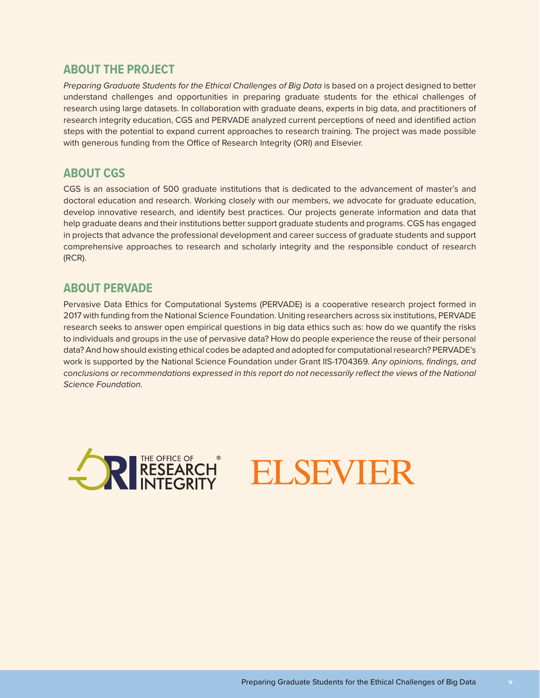### **ABOUT THE PROJECT**

*Preparing Graduate Students for the Ethical Challenges of Big Data* is based on a project designed to better understand challenges and opportunities in preparing graduate students for the ethical challenges of research using large datasets. In collaboration with graduate deans, experts in big data, and practitioners of research integrity education, CGS and PERVADE analyzed current perceptions of need and identified action steps with the potential to expand current approaches to research training. The project was made possible with generous funding from the Office of Research Integrity (ORI) and Elsevier.

### **ABOUT CGS**

CGS is an association of 500 graduate institutions that is dedicated to the advancement of master's and doctoral education and research. Working closely with our members, we advocate for graduate education, develop innovative research, and identify best practices. Our projects generate information and data that help graduate deans and their institutions better support graduate students and programs. CGS has engaged in projects that advance the professional development and career success of graduate students and support comprehensive approaches to research and scholarly integrity and the responsible conduct of research (RCR).

### **ABOUT PERVADE**

Pervasive Data Ethics for Computational Systems (PERVADE) is a cooperative research project formed in 2017 with funding from the National Science Foundation. Uniting researchers across six institutions, PERVADE research seeks to answer open empirical questions in big data ethics such as: how do we quantify the risks to individuals and groups in the use of pervasive data? How do people experience the reuse of their personal data? And how should existing ethical codes be adapted and adopted for computational research? PERVADE's work is supported by the National Science Foundation under Grant IIS-1704369. *Any opinions, findings, and conclusions or recommendations expressed in this report do not necessarily reflect the views of the National Science Foundation.*



ELSEVIER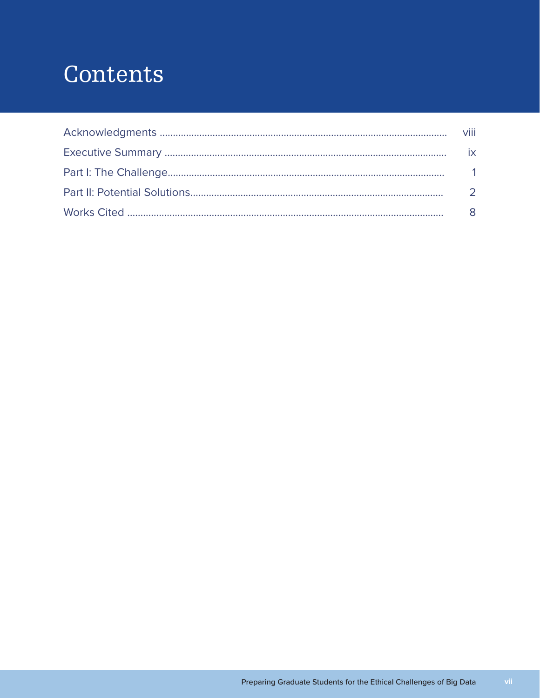# Contents

| viii |
|------|
| ix   |
|      |
|      |
|      |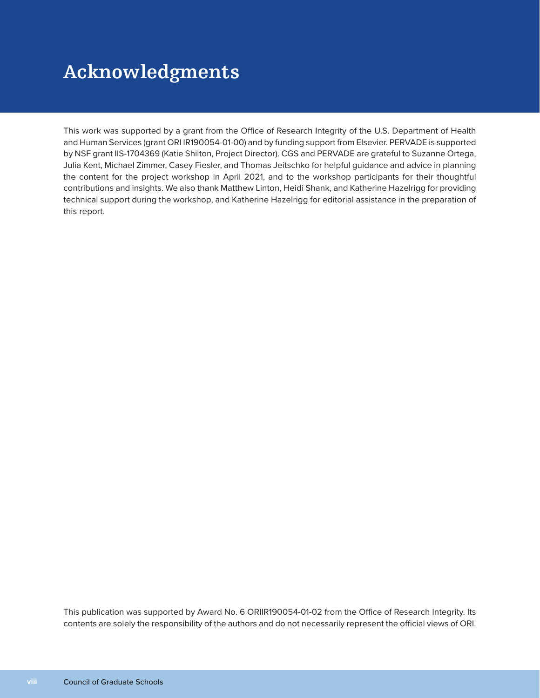# **Acknowledgments**

This work was supported by a grant from the Office of Research Integrity of the U.S. Department of Health and Human Services (grant ORI IR190054-01-00) and by funding support from Elsevier. PERVADE is supported by NSF grant IIS-1704369 (Katie Shilton, Project Director). CGS and PERVADE are grateful to Suzanne Ortega, Julia Kent, Michael Zimmer, Casey Fiesler, and Thomas Jeitschko for helpful guidance and advice in planning the content for the project workshop in April 2021, and to the workshop participants for their thoughtful contributions and insights. We also thank Matthew Linton, Heidi Shank, and Katherine Hazelrigg for providing technical support during the workshop, and Katherine Hazelrigg for editorial assistance in the preparation of this report.

This publication was supported by Award No. 6 ORIIR190054-01-02 from the Office of Research Integrity. Its contents are solely the responsibility of the authors and do not necessarily represent the official views of ORI.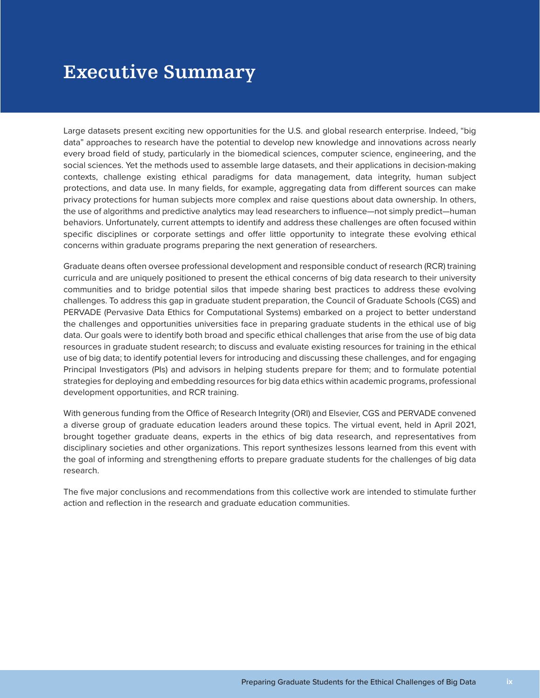## **Executive Summary**

Large datasets present exciting new opportunities for the U.S. and global research enterprise. Indeed, "big data" approaches to research have the potential to develop new knowledge and innovations across nearly every broad field of study, particularly in the biomedical sciences, computer science, engineering, and the social sciences. Yet the methods used to assemble large datasets, and their applications in decision-making contexts, challenge existing ethical paradigms for data management, data integrity, human subject protections, and data use. In many fields, for example, aggregating data from different sources can make privacy protections for human subjects more complex and raise questions about data ownership. In others, the use of algorithms and predictive analytics may lead researchers to influence—not simply predict—human behaviors. Unfortunately, current attempts to identify and address these challenges are often focused within specific disciplines or corporate settings and offer little opportunity to integrate these evolving ethical concerns within graduate programs preparing the next generation of researchers.

Graduate deans often oversee professional development and responsible conduct of research (RCR) training curricula and are uniquely positioned to present the ethical concerns of big data research to their university communities and to bridge potential silos that impede sharing best practices to address these evolving challenges. To address this gap in graduate student preparation, the Council of Graduate Schools (CGS) and PERVADE (Pervasive Data Ethics for Computational Systems) embarked on a project to better understand the challenges and opportunities universities face in preparing graduate students in the ethical use of big data. Our goals were to identify both broad and specific ethical challenges that arise from the use of big data resources in graduate student research; to discuss and evaluate existing resources for training in the ethical use of big data; to identify potential levers for introducing and discussing these challenges, and for engaging Principal Investigators (PIs) and advisors in helping students prepare for them; and to formulate potential strategies for deploying and embedding resources for big data ethics within academic programs, professional development opportunities, and RCR training.

With generous funding from the Office of Research Integrity (ORI) and Elsevier, CGS and PERVADE convened a diverse group of graduate education leaders around these topics. The virtual event, held in April 2021, brought together graduate deans, experts in the ethics of big data research, and representatives from disciplinary societies and other organizations. This report synthesizes lessons learned from this event with the goal of informing and strengthening efforts to prepare graduate students for the challenges of big data research.

The five major conclusions and recommendations from this collective work are intended to stimulate further action and reflection in the research and graduate education communities.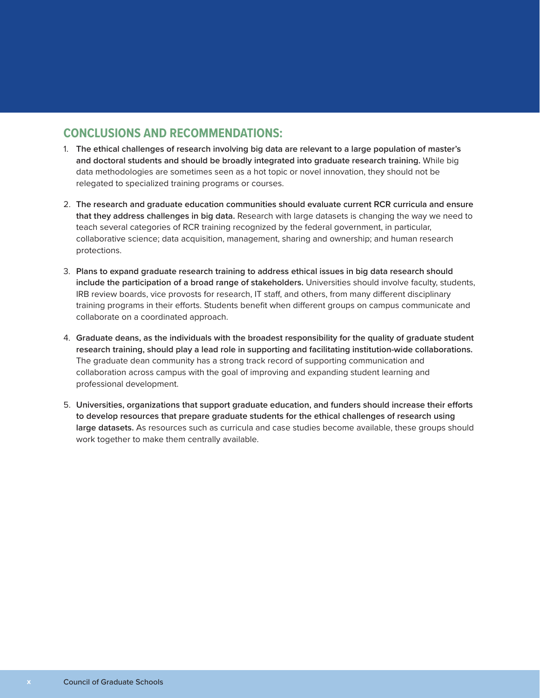### **CONCLUSIONS AND RECOMMENDATIONS:**

- 1. **The ethical challenges of research involving big data are relevant to a large population of master's and doctoral students and should be broadly integrated into graduate research training.** While big data methodologies are sometimes seen as a hot topic or novel innovation, they should not be relegated to specialized training programs or courses.
- 2. **The research and graduate education communities should evaluate current RCR curricula and ensure that they address challenges in big data.** Research with large datasets is changing the way we need to teach several categories of RCR training recognized by the federal government, in particular, collaborative science; data acquisition, management, sharing and ownership; and human research protections.
- 3. **Plans to expand graduate research training to address ethical issues in big data research should include the participation of a broad range of stakeholders.** Universities should involve faculty, students, IRB review boards, vice provosts for research, IT staff, and others, from many different disciplinary training programs in their efforts. Students benefit when different groups on campus communicate and collaborate on a coordinated approach.
- 4. **Graduate deans, as the individuals with the broadest responsibility for the quality of graduate student research training, should play a lead role in supporting and facilitating institution-wide collaborations.** The graduate dean community has a strong track record of supporting communication and collaboration across campus with the goal of improving and expanding student learning and professional development.
- 5. **Universities, organizations that support graduate education, and funders should increase their efforts to develop resources that prepare graduate students for the ethical challenges of research using large datasets.** As resources such as curricula and case studies become available, these groups should work together to make them centrally available.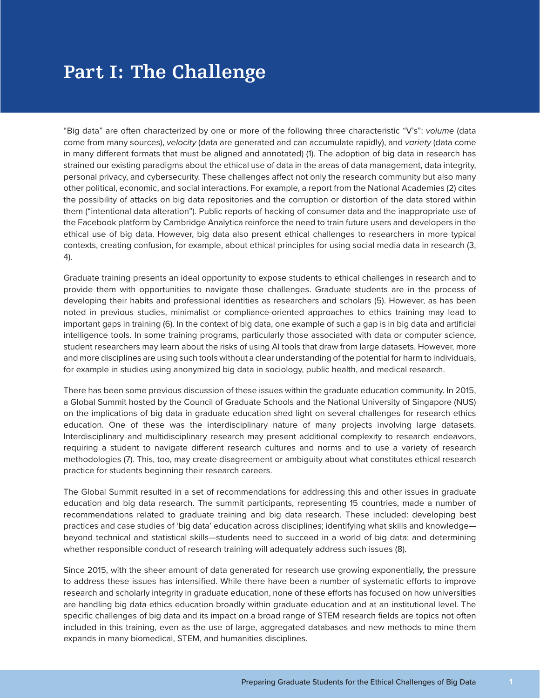# **Part I: The Challenge**

"Big data" are often characterized by one or more of the following three characteristic "V's": *volume* (data come from many sources), *velocity* (data are generated and can accumulate rapidly), and *variety* (data come in many different formats that must be aligned and annotated) (1). The adoption of big data in research has strained our existing paradigms about the ethical use of data in the areas of data management, data integrity, personal privacy, and cybersecurity. These challenges affect not only the research community but also many other political, economic, and social interactions. For example, a report from the National Academies (2) cites the possibility of attacks on big data repositories and the corruption or distortion of the data stored within them ("intentional data alteration"). Public reports of hacking of consumer data and the inappropriate use of the Facebook platform by Cambridge Analytica reinforce the need to train future users and developers in the ethical use of big data. However, big data also present ethical challenges to researchers in more typical contexts, creating confusion, for example, about ethical principles for using social media data in research (3, 4).

Graduate training presents an ideal opportunity to expose students to ethical challenges in research and to provide them with opportunities to navigate those challenges. Graduate students are in the process of developing their habits and professional identities as researchers and scholars (5). However, as has been noted in previous studies, minimalist or compliance-oriented approaches to ethics training may lead to important gaps in training (6). In the context of big data, one example of such a gap is in big data and artificial intelligence tools. In some training programs, particularly those associated with data or computer science, student researchers may learn about the risks of using AI tools that draw from large datasets. However, more and more disciplines are using such tools without a clear understanding of the potential for harm to individuals, for example in studies using anonymized big data in sociology, public health, and medical research.

There has been some previous discussion of these issues within the graduate education community. In 2015, a Global Summit hosted by the Council of Graduate Schools and the National University of Singapore (NUS) on the implications of big data in graduate education shed light on several challenges for research ethics education. One of these was the interdisciplinary nature of many projects involving large datasets. Interdisciplinary and multidisciplinary research may present additional complexity to research endeavors, requiring a student to navigate different research cultures and norms and to use a variety of research methodologies (7). This, too, may create disagreement or ambiguity about what constitutes ethical research practice for students beginning their research careers.

The Global Summit resulted in a set of recommendations for addressing this and other issues in graduate education and big data research. The summit participants, representing 15 countries, made a number of recommendations related to graduate training and big data research. These included: developing best practices and case studies of 'big data' education across disciplines; identifying what skills and knowledge beyond technical and statistical skills—students need to succeed in a world of big data; and determining whether responsible conduct of research training will adequately address such issues (8).

Since 2015, with the sheer amount of data generated for research use growing exponentially, the pressure to address these issues has intensified. While there have been a number of systematic efforts to improve research and scholarly integrity in graduate education, none of these efforts has focused on how universities are handling big data ethics education broadly within graduate education and at an institutional level. The specific challenges of big data and its impact on a broad range of STEM research fields are topics not often included in this training, even as the use of large, aggregated databases and new methods to mine them expands in many biomedical, STEM, and humanities disciplines.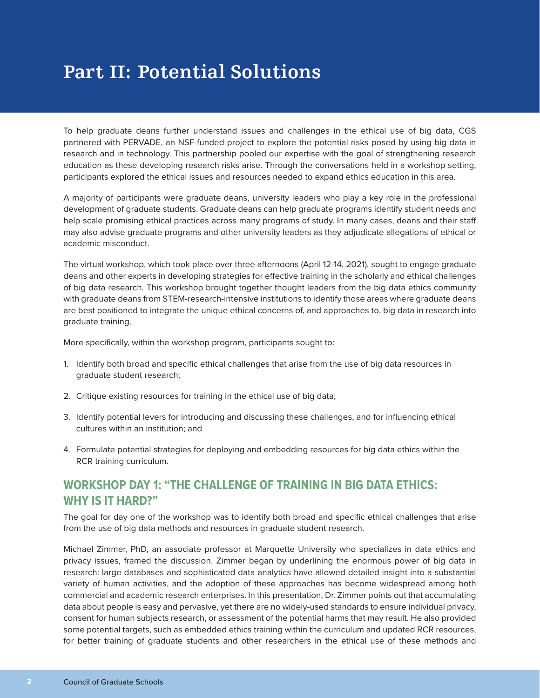# **Part II: Potential Solutions**

To help graduate deans further understand issues and challenges in the ethical use of big data, CGS partnered with PERVADE, an NSF-funded project to explore the potential risks posed by using big data in research and in technology. This partnership pooled our expertise with the goal of strengthening research education as these developing research risks arise. Through the conversations held in a workshop setting, participants explored the ethical issues and resources needed to expand ethics education in this area.

A majority of participants were graduate deans, university leaders who play a key role in the professional development of graduate students. Graduate deans can help graduate programs identify student needs and help scale promising ethical practices across many programs of study. In many cases, deans and their staff may also advise graduate programs and other university leaders as they adjudicate allegations of ethical or academic misconduct.

The virtual workshop, which took place over three afternoons (April 12-14, 2021), sought to engage graduate deans and other experts in developing strategies for effective training in the scholarly and ethical challenges of big data research. This workshop brought together thought leaders from the big data ethics community with graduate deans from STEM-research-intensive institutions to identify those areas where graduate deans are best positioned to integrate the unique ethical concerns of, and approaches to, big data in research into graduate training.

More specifically, within the workshop program, participants sought to:

- 1. Identify both broad and specific ethical challenges that arise from the use of big data resources in graduate student research;
- 2. Critique existing resources for training in the ethical use of big data;
- 3. Identify potential levers for introducing and discussing these challenges, and for influencing ethical cultures within an institution; and
- 4. Formulate potential strategies for deploying and embedding resources for big data ethics within the RCR training curriculum.

### **WORKSHOP DAY 1: "THE CHALLENGE OF TRAINING IN BIG DATA ETHICS: WHY IS IT HARD?"**

The goal for day one of the workshop was to identify both broad and specific ethical challenges that arise from the use of big data methods and resources in graduate student research.

Michael Zimmer, PhD, an associate professor at Marquette University who specializes in data ethics and privacy issues, framed the discussion. Zimmer began by underlining the enormous power of big data in research: large databases and sophisticated data analytics have allowed detailed insight into a substantial variety of human activities, and the adoption of these approaches has become widespread among both commercial and academic research enterprises. In this presentation, Dr. Zimmer points out that accumulating data about people is easy and pervasive, yet there are no widely-used standards to ensure individual privacy, consent for human subjects research, or assessment of the potential harms that may result. He also provided some potential targets, such as embedded ethics training within the curriculum and updated RCR resources, for better training of graduate students and other researchers in the ethical use of these methods and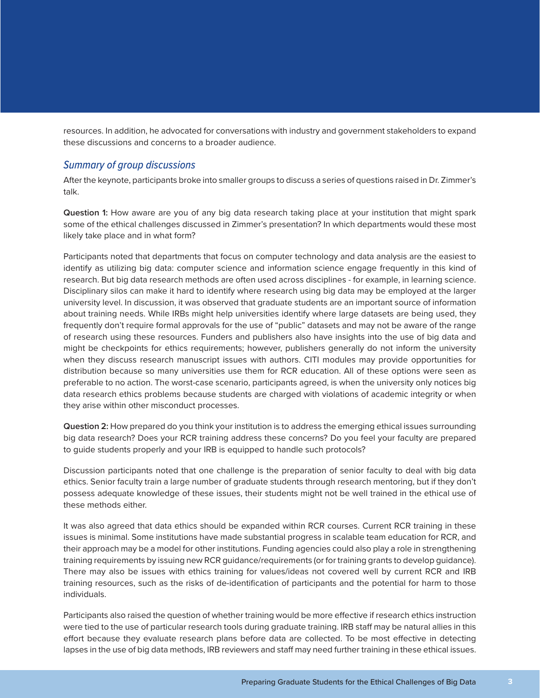resources. In addition, he advocated for conversations with industry and government stakeholders to expand these discussions and concerns to a broader audience.

#### *Summary of group discussions*

After the keynote, participants broke into smaller groups to discuss a series of questions raised in Dr. Zimmer's talk.

**Question 1:** How aware are you of any big data research taking place at your institution that might spark some of the ethical challenges discussed in Zimmer's presentation? In which departments would these most likely take place and in what form?

Participants noted that departments that focus on computer technology and data analysis are the easiest to identify as utilizing big data: computer science and information science engage frequently in this kind of research. But big data research methods are often used across disciplines - for example, in learning science. Disciplinary silos can make it hard to identify where research using big data may be employed at the larger university level. In discussion, it was observed that graduate students are an important source of information about training needs. While IRBs might help universities identify where large datasets are being used, they frequently don't require formal approvals for the use of "public" datasets and may not be aware of the range of research using these resources. Funders and publishers also have insights into the use of big data and might be checkpoints for ethics requirements; however, publishers generally do not inform the university when they discuss research manuscript issues with authors. CITI modules may provide opportunities for distribution because so many universities use them for RCR education. All of these options were seen as preferable to no action. The worst-case scenario, participants agreed, is when the university only notices big data research ethics problems because students are charged with violations of academic integrity or when they arise within other misconduct processes.

**Question 2:** How prepared do you think your institution is to address the emerging ethical issues surrounding big data research? Does your RCR training address these concerns? Do you feel your faculty are prepared to guide students properly and your IRB is equipped to handle such protocols?

Discussion participants noted that one challenge is the preparation of senior faculty to deal with big data ethics. Senior faculty train a large number of graduate students through research mentoring, but if they don't possess adequate knowledge of these issues, their students might not be well trained in the ethical use of these methods either.

It was also agreed that data ethics should be expanded within RCR courses. Current RCR training in these issues is minimal. Some institutions have made substantial progress in scalable team education for RCR, and their approach may be a model for other institutions. Funding agencies could also play a role in strengthening training requirements by issuing new RCR guidance/requirements (or for training grants to develop guidance). There may also be issues with ethics training for values/ideas not covered well by current RCR and IRB training resources, such as the risks of de-identification of participants and the potential for harm to those individuals.

Participants also raised the question of whether training would be more effective if research ethics instruction were tied to the use of particular research tools during graduate training. IRB staff may be natural allies in this effort because they evaluate research plans before data are collected. To be most effective in detecting lapses in the use of big data methods, IRB reviewers and staff may need further training in these ethical issues.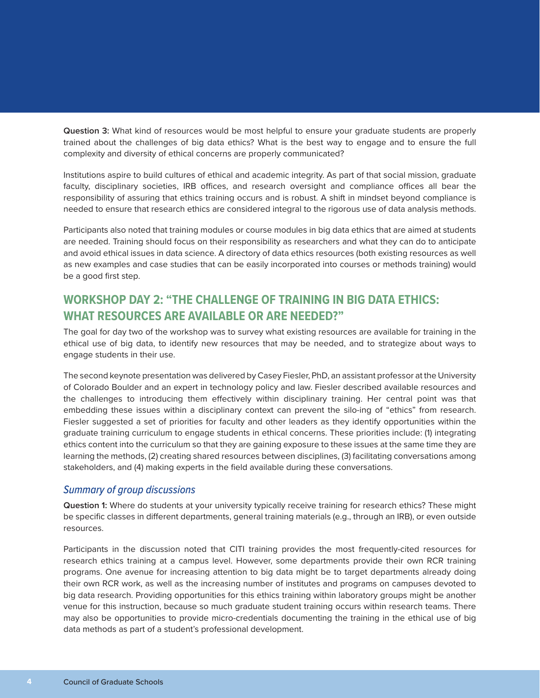**Question 3:** What kind of resources would be most helpful to ensure your graduate students are properly trained about the challenges of big data ethics? What is the best way to engage and to ensure the full complexity and diversity of ethical concerns are properly communicated?

Institutions aspire to build cultures of ethical and academic integrity. As part of that social mission, graduate faculty, disciplinary societies, IRB offices, and research oversight and compliance offices all bear the responsibility of assuring that ethics training occurs and is robust. A shift in mindset beyond compliance is needed to ensure that research ethics are considered integral to the rigorous use of data analysis methods.

Participants also noted that training modules or course modules in big data ethics that are aimed at students are needed. Training should focus on their responsibility as researchers and what they can do to anticipate and avoid ethical issues in data science. A directory of data ethics resources (both existing resources as well as new examples and case studies that can be easily incorporated into courses or methods training) would be a good first step.

## **WORKSHOP DAY 2: "THE CHALLENGE OF TRAINING IN BIG DATA ETHICS: WHAT RESOURCES ARE AVAILABLE OR ARE NEEDED?"**

The goal for day two of the workshop was to survey what existing resources are available for training in the ethical use of big data, to identify new resources that may be needed, and to strategize about ways to engage students in their use.

The second keynote presentation was delivered by Casey Fiesler, PhD, an assistant professor at the University of Colorado Boulder and an expert in technology policy and law. Fiesler described available resources and the challenges to introducing them effectively within disciplinary training. Her central point was that embedding these issues within a disciplinary context can prevent the silo-ing of "ethics" from research. Fiesler suggested a set of priorities for faculty and other leaders as they identify opportunities within the graduate training curriculum to engage students in ethical concerns. These priorities include: (1) integrating ethics content into the curriculum so that they are gaining exposure to these issues at the same time they are learning the methods, (2) creating shared resources between disciplines, (3) facilitating conversations among stakeholders, and (4) making experts in the field available during these conversations.

#### *Summary of group discussions*

**Question 1:** Where do students at your university typically receive training for research ethics? These might be specific classes in different departments, general training materials (e.g., through an IRB), or even outside resources.

Participants in the discussion noted that CITI training provides the most frequently-cited resources for research ethics training at a campus level. However, some departments provide their own RCR training programs. One avenue for increasing attention to big data might be to target departments already doing their own RCR work, as well as the increasing number of institutes and programs on campuses devoted to big data research. Providing opportunities for this ethics training within laboratory groups might be another venue for this instruction, because so much graduate student training occurs within research teams. There may also be opportunities to provide micro-credentials documenting the training in the ethical use of big data methods as part of a student's professional development.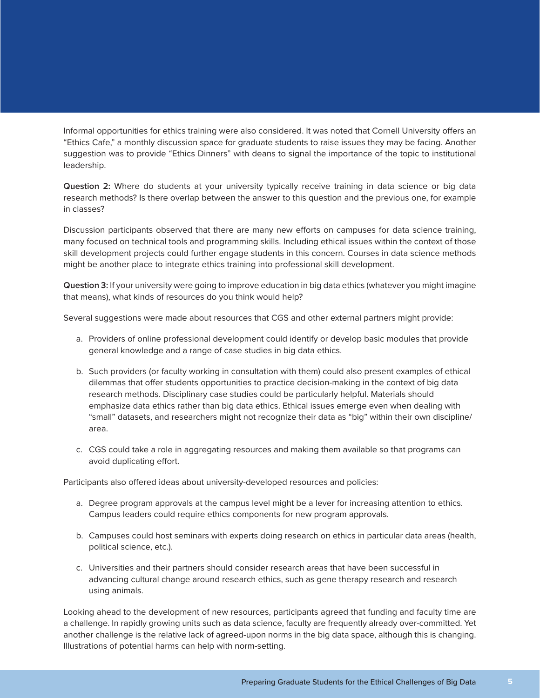Informal opportunities for ethics training were also considered. It was noted that Cornell University offers an "Ethics Cafe," a monthly discussion space for graduate students to raise issues they may be facing. Another suggestion was to provide "Ethics Dinners" with deans to signal the importance of the topic to institutional leadership.

**Question 2:** Where do students at your university typically receive training in data science or big data research methods? Is there overlap between the answer to this question and the previous one, for example in classes?

Discussion participants observed that there are many new efforts on campuses for data science training, many focused on technical tools and programming skills. Including ethical issues within the context of those skill development projects could further engage students in this concern. Courses in data science methods might be another place to integrate ethics training into professional skill development.

**Question 3:** If your university were going to improve education in big data ethics (whatever you might imagine that means), what kinds of resources do you think would help?

Several suggestions were made about resources that CGS and other external partners might provide:

- a. Providers of online professional development could identify or develop basic modules that provide general knowledge and a range of case studies in big data ethics.
- b. Such providers (or faculty working in consultation with them) could also present examples of ethical dilemmas that offer students opportunities to practice decision-making in the context of big data research methods. Disciplinary case studies could be particularly helpful. Materials should emphasize data ethics rather than big data ethics. Ethical issues emerge even when dealing with "small" datasets, and researchers might not recognize their data as "big" within their own discipline/ area.
- c. CGS could take a role in aggregating resources and making them available so that programs can avoid duplicating effort.

Participants also offered ideas about university-developed resources and policies:

- a. Degree program approvals at the campus level might be a lever for increasing attention to ethics. Campus leaders could require ethics components for new program approvals.
- b. Campuses could host seminars with experts doing research on ethics in particular data areas (health, political science, etc.).
- c. Universities and their partners should consider research areas that have been successful in advancing cultural change around research ethics, such as gene therapy research and research using animals.

Looking ahead to the development of new resources, participants agreed that funding and faculty time are a challenge. In rapidly growing units such as data science, faculty are frequently already over-committed. Yet another challenge is the relative lack of agreed-upon norms in the big data space, although this is changing. Illustrations of potential harms can help with norm-setting.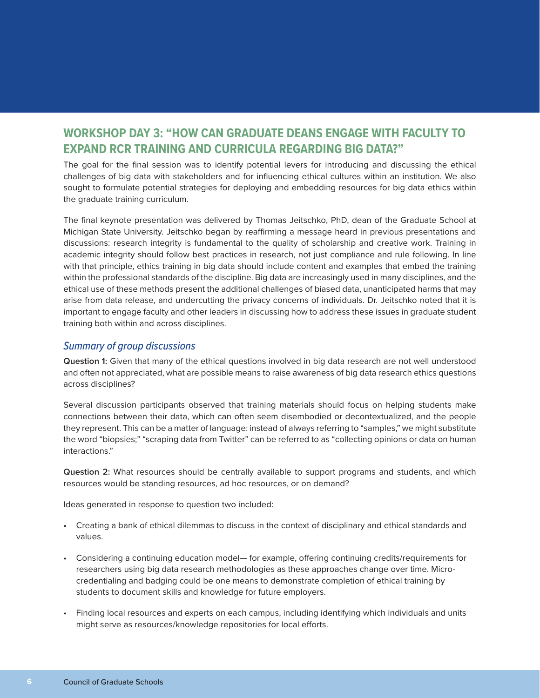## **WORKSHOP DAY 3: "HOW CAN GRADUATE DEANS ENGAGE WITH FACULTY TO EXPAND RCR TRAINING AND CURRICULA REGARDING BIG DATA?"**

The goal for the final session was to identify potential levers for introducing and discussing the ethical challenges of big data with stakeholders and for influencing ethical cultures within an institution. We also sought to formulate potential strategies for deploying and embedding resources for big data ethics within the graduate training curriculum.

The final keynote presentation was delivered by Thomas Jeitschko, PhD, dean of the Graduate School at Michigan State University. Jeitschko began by reaffirming a message heard in previous presentations and discussions: research integrity is fundamental to the quality of scholarship and creative work. Training in academic integrity should follow best practices in research, not just compliance and rule following. In line with that principle, ethics training in big data should include content and examples that embed the training within the professional standards of the discipline. Big data are increasingly used in many disciplines, and the ethical use of these methods present the additional challenges of biased data, unanticipated harms that may arise from data release, and undercutting the privacy concerns of individuals. Dr. Jeitschko noted that it is important to engage faculty and other leaders in discussing how to address these issues in graduate student training both within and across disciplines.

#### *Summary of group discussions*

**Question 1:** Given that many of the ethical questions involved in big data research are not well understood and often not appreciated, what are possible means to raise awareness of big data research ethics questions across disciplines?

Several discussion participants observed that training materials should focus on helping students make connections between their data, which can often seem disembodied or decontextualized, and the people they represent. This can be a matter of language: instead of always referring to "samples," we might substitute the word "biopsies;" "scraping data from Twitter" can be referred to as "collecting opinions or data on human interactions."

**Question 2:** What resources should be centrally available to support programs and students, and which resources would be standing resources, ad hoc resources, or on demand?

Ideas generated in response to question two included:

- Creating a bank of ethical dilemmas to discuss in the context of disciplinary and ethical standards and values.
- Considering a continuing education model— for example, offering continuing credits/requirements for researchers using big data research methodologies as these approaches change over time. Microcredentialing and badging could be one means to demonstrate completion of ethical training by students to document skills and knowledge for future employers.
- Finding local resources and experts on each campus, including identifying which individuals and units might serve as resources/knowledge repositories for local efforts.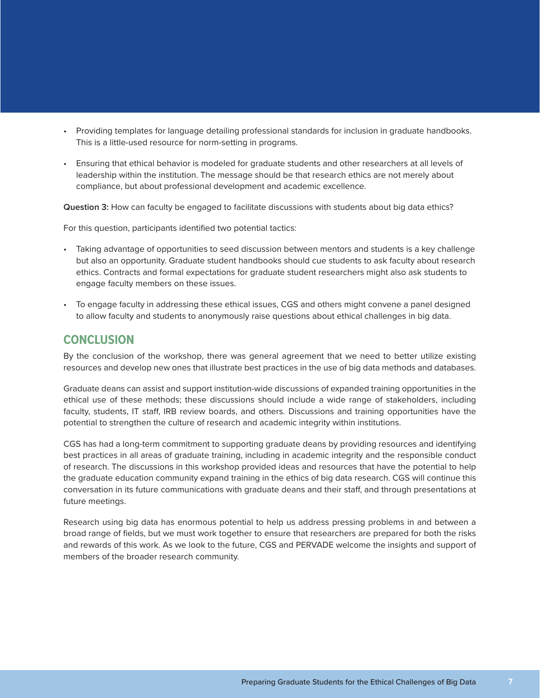- Providing templates for language detailing professional standards for inclusion in graduate handbooks. This is a little-used resource for norm-setting in programs.
- Ensuring that ethical behavior is modeled for graduate students and other researchers at all levels of leadership within the institution. The message should be that research ethics are not merely about compliance, but about professional development and academic excellence.

**Question 3:** How can faculty be engaged to facilitate discussions with students about big data ethics?

For this question, participants identified two potential tactics:

- Taking advantage of opportunities to seed discussion between mentors and students is a key challenge but also an opportunity. Graduate student handbooks should cue students to ask faculty about research ethics. Contracts and formal expectations for graduate student researchers might also ask students to engage faculty members on these issues.
- To engage faculty in addressing these ethical issues, CGS and others might convene a panel designed to allow faculty and students to anonymously raise questions about ethical challenges in big data.

#### **CONCLUSION**

By the conclusion of the workshop, there was general agreement that we need to better utilize existing resources and develop new ones that illustrate best practices in the use of big data methods and databases.

Graduate deans can assist and support institution-wide discussions of expanded training opportunities in the ethical use of these methods; these discussions should include a wide range of stakeholders, including faculty, students, IT staff, IRB review boards, and others. Discussions and training opportunities have the potential to strengthen the culture of research and academic integrity within institutions.

CGS has had a long-term commitment to supporting graduate deans by providing resources and identifying best practices in all areas of graduate training, including in academic integrity and the responsible conduct of research. The discussions in this workshop provided ideas and resources that have the potential to help the graduate education community expand training in the ethics of big data research. CGS will continue this conversation in its future communications with graduate deans and their staff, and through presentations at future meetings.

Research using big data has enormous potential to help us address pressing problems in and between a broad range of fields, but we must work together to ensure that researchers are prepared for both the risks and rewards of this work. As we look to the future, CGS and PERVADE welcome the insights and support of members of the broader research community.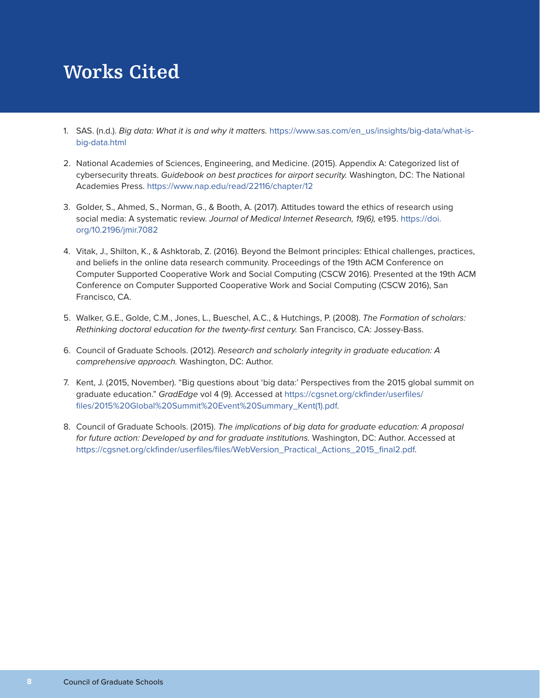# **Works Cited**

- 1. SAS. (n.d.). *Big data: What it is and why it matters.* [https://www.sas.com/en\\_us/insights/big-data/what-is](https://www.sas.com/en_us/insights/big-data/what-is-big-data.html)[big-data.html](https://www.sas.com/en_us/insights/big-data/what-is-big-data.html)
- 2. National Academies of Sciences, Engineering, and Medicine. (2015). Appendix A: Categorized list of cybersecurity threats. *Guidebook on best practices for airport security.* Washington, DC: The National Academies Press. <https://www.nap.edu/read/22116/chapter/12>
- 3. Golder, S., Ahmed, S., Norman, G., & Booth, A. (2017). Attitudes toward the ethics of research using social media: A systematic review. *Journal of Medical Internet Research, 19(6),* e195. [https://doi.](https://doi.org/10.2196/jmir.7082) [org/10.2196/jmir.7082](https://doi.org/10.2196/jmir.7082)
- 4. Vitak, J., Shilton, K., & Ashktorab, Z. (2016). Beyond the Belmont principles: Ethical challenges, practices, and beliefs in the online data research community. Proceedings of the 19th ACM Conference on Computer Supported Cooperative Work and Social Computing (CSCW 2016). Presented at the 19th ACM Conference on Computer Supported Cooperative Work and Social Computing (CSCW 2016), San Francisco, CA.
- 5. Walker, G.E., Golde, C.M., Jones, L., Bueschel, A.C., & Hutchings, P. (2008). *The Formation of scholars: Rethinking doctoral education for the twenty-first century.* San Francisco, CA: Jossey-Bass.
- 6. Council of Graduate Schools. (2012). *Research and scholarly integrity in graduate education: A comprehensive approach.* Washington, DC: Author.
- 7. Kent, J. (2015, November). "Big questions about 'big data:' Perspectives from the 2015 global summit on graduate education." *GradEdge* vol 4 (9). Accessed at [https://cgsnet.org/ckfinder/userfiles/](https://cgsnet.org/ckfinder/userfiles/files/2015 Global Summit Event Summary_Kent(1).pdf) [files/2015%20Global%20Summit%20Event%20Summary\\_Kent\(1\).pdf](https://cgsnet.org/ckfinder/userfiles/files/2015 Global Summit Event Summary_Kent(1).pdf).
- 8. Council of Graduate Schools. (2015). *The implications of big data for graduate education: A proposal for future action: Developed by and for graduate institutions.* Washington, DC: Author. Accessed at [https://cgsnet.org/ckfinder/userfiles/files/WebVersion\\_Practical\\_Actions\\_2015\\_final2.pdf](https://cgsnet.org/ckfinder/userfiles/files/WebVersion_Practical_Actions_2015_final2.pdf).